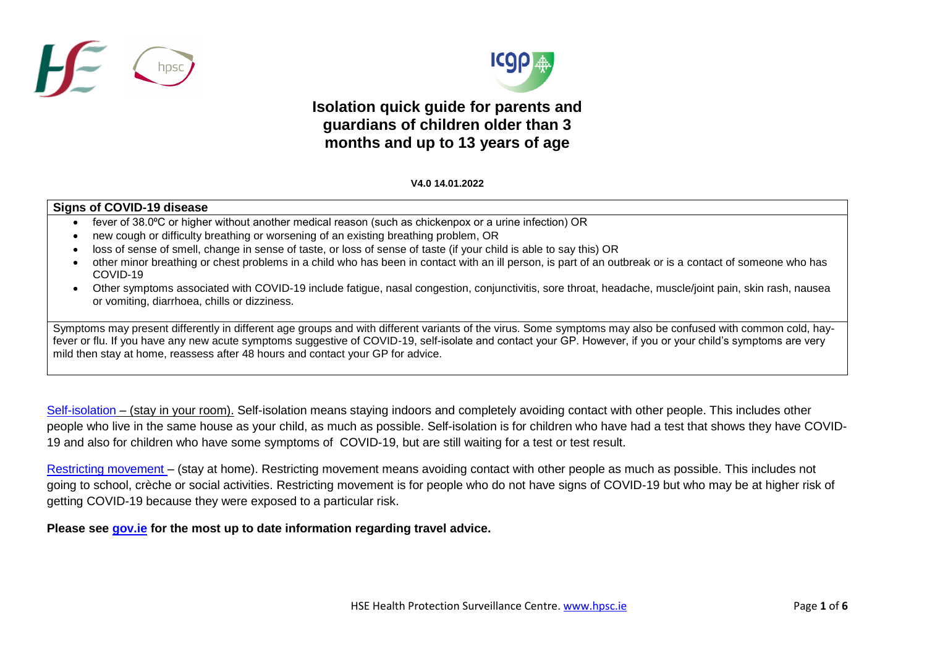



## **Isolation quick guide for parents and guardians of children older than 3 months and up to 13 years of age**

## V **V4.0 14.01.2022**

## **Signs of COVID-19 disease**

- fever of 38.0°C or higher without another medical reason (such as chickenpox or a urine infection) OR
- new cough or difficulty breathing or worsening of an existing breathing problem, OR
- loss of sense of smell, change in sense of taste, or loss of sense of taste (if your child is able to say this) OR
- other minor breathing or chest problems in a child who has been in contact with an ill person, is part of an outbreak or is a contact of someone who has COVID-19
- Other symptoms associated with COVID-19 include fatigue, nasal congestion, conjunctivitis, sore throat, headache, muscle/joint pain, skin rash, nausea or vomiting, diarrhoea, chills or dizziness.

Symptoms may present differently in different age groups and with different variants of the virus. Some symptoms may also be confused with common cold, hayfever or flu. If you have any new acute symptoms suggestive of COVID-19, self-isolate and contact your GP. However, if you or your child's symptoms are very mild then stay at home, reassess after 48 hours and contact your GP for advice.

[Self-isolation](https://www2.hse.ie/conditions/coronavirus/managing-coronavirus-at-home/self-isolation.html) – (stay in your room). Self-isolation means staying indoors and completely avoiding contact with other people. This includes other people who live in the same house as your child, as much as possible. Self-isolation is for children who have had a test that shows they have COVID-19 and also for children who have some symptoms of COVID-19, but are still waiting for a test or test result.

[Restricting movement](https://www2.hse.ie/conditions/coronavirus/managing-coronavirus-at-home/if-you-live-with-someone-who-has-coronavirus.html) – (stay at home). Restricting movement means avoiding contact with other people as much as possible. This includes not going to school, crèche or social activities. Restricting movement is for people who do not have signs of COVID-19 but who may be at higher risk of getting COVID-19 because they were exposed to a particular risk.

**Please see [gov.ie](https://www.gov.ie/en/publication/77952-government-advice-on-international-travel/#travelling-to-ireland) for the most up to date information regarding travel advice.**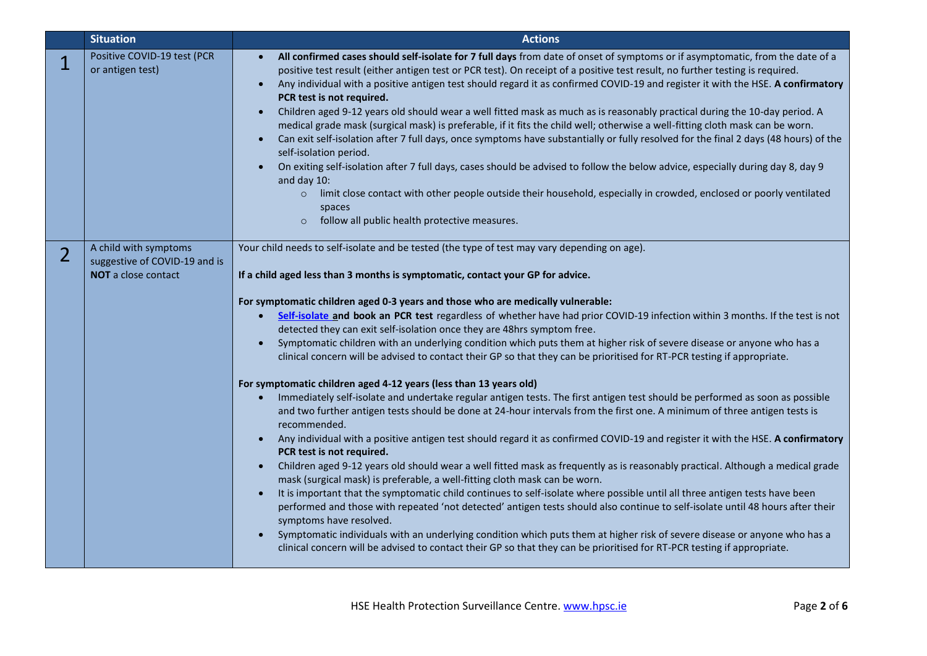|                | <b>Situation</b>                                                                     | <b>Actions</b>                                                                                                                                                                                                                                                                                                                                                                                                                                                                                                                                                                                                                                                                                                                                                                                                                                                                                                                                                                                                                                                                                                                                                                                                                                                                                                                                                                                                                                                                                                                                                                                                                                                                                                                                                                                                                                                                                                                                                                                                                                                               |
|----------------|--------------------------------------------------------------------------------------|------------------------------------------------------------------------------------------------------------------------------------------------------------------------------------------------------------------------------------------------------------------------------------------------------------------------------------------------------------------------------------------------------------------------------------------------------------------------------------------------------------------------------------------------------------------------------------------------------------------------------------------------------------------------------------------------------------------------------------------------------------------------------------------------------------------------------------------------------------------------------------------------------------------------------------------------------------------------------------------------------------------------------------------------------------------------------------------------------------------------------------------------------------------------------------------------------------------------------------------------------------------------------------------------------------------------------------------------------------------------------------------------------------------------------------------------------------------------------------------------------------------------------------------------------------------------------------------------------------------------------------------------------------------------------------------------------------------------------------------------------------------------------------------------------------------------------------------------------------------------------------------------------------------------------------------------------------------------------------------------------------------------------------------------------------------------------|
| $\mathbb{1}$   | Positive COVID-19 test (PCR<br>or antigen test)                                      | All confirmed cases should self-isolate for 7 full days from date of onset of symptoms or if asymptomatic, from the date of a<br>$\bullet$<br>positive test result (either antigen test or PCR test). On receipt of a positive test result, no further testing is required.<br>Any individual with a positive antigen test should regard it as confirmed COVID-19 and register it with the HSE. A confirmatory<br>$\bullet$<br>PCR test is not required.<br>Children aged 9-12 years old should wear a well fitted mask as much as is reasonably practical during the 10-day period. A<br>$\bullet$<br>medical grade mask (surgical mask) is preferable, if it fits the child well; otherwise a well-fitting cloth mask can be worn.<br>Can exit self-isolation after 7 full days, once symptoms have substantially or fully resolved for the final 2 days (48 hours) of the<br>$\bullet$<br>self-isolation period.<br>On exiting self-isolation after 7 full days, cases should be advised to follow the below advice, especially during day 8, day 9<br>and day 10:<br>limit close contact with other people outside their household, especially in crowded, enclosed or poorly ventilated<br>$\circ$<br>spaces<br>follow all public health protective measures.<br>$\circ$                                                                                                                                                                                                                                                                                                                                                                                                                                                                                                                                                                                                                                                                                                                                                                                                |
| $\overline{2}$ | A child with symptoms<br>suggestive of COVID-19 and is<br><b>NOT</b> a close contact | Your child needs to self-isolate and be tested (the type of test may vary depending on age).<br>If a child aged less than 3 months is symptomatic, contact your GP for advice.<br>For symptomatic children aged 0-3 years and those who are medically vulnerable:<br>Self-isolate and book an PCR test regardless of whether have had prior COVID-19 infection within 3 months. If the test is not<br>detected they can exit self-isolation once they are 48hrs symptom free.<br>Symptomatic children with an underlying condition which puts them at higher risk of severe disease or anyone who has a<br>$\bullet$<br>clinical concern will be advised to contact their GP so that they can be prioritised for RT-PCR testing if appropriate.<br>For symptomatic children aged 4-12 years (less than 13 years old)<br>Immediately self-isolate and undertake regular antigen tests. The first antigen test should be performed as soon as possible<br>$\bullet$<br>and two further antigen tests should be done at 24-hour intervals from the first one. A minimum of three antigen tests is<br>recommended.<br>Any individual with a positive antigen test should regard it as confirmed COVID-19 and register it with the HSE. A confirmatory<br>PCR test is not required.<br>Children aged 9-12 years old should wear a well fitted mask as frequently as is reasonably practical. Although a medical grade<br>$\bullet$<br>mask (surgical mask) is preferable, a well-fitting cloth mask can be worn.<br>It is important that the symptomatic child continues to self-isolate where possible until all three antigen tests have been<br>performed and those with repeated 'not detected' antigen tests should also continue to self-isolate until 48 hours after their<br>symptoms have resolved.<br>Symptomatic individuals with an underlying condition which puts them at higher risk of severe disease or anyone who has a<br>$\bullet$<br>clinical concern will be advised to contact their GP so that they can be prioritised for RT-PCR testing if appropriate. |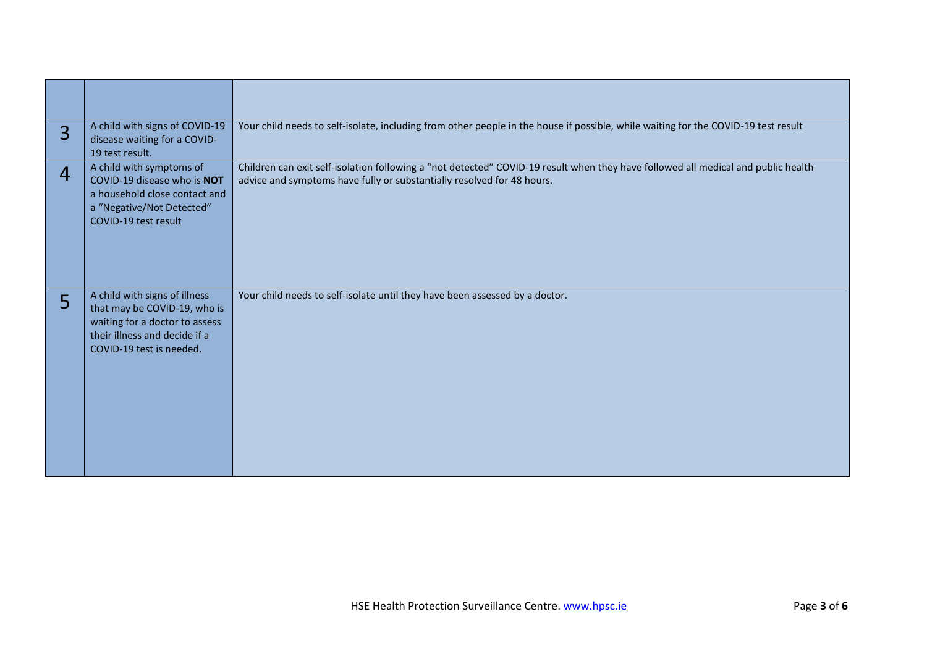| $\overline{3}$ | A child with signs of COVID-19<br>disease waiting for a COVID-<br>19 test result.                                                                            | Your child needs to self-isolate, including from other people in the house if possible, while waiting for the COVID-19 test result                                                                          |
|----------------|--------------------------------------------------------------------------------------------------------------------------------------------------------------|-------------------------------------------------------------------------------------------------------------------------------------------------------------------------------------------------------------|
| 4              | A child with symptoms of<br>COVID-19 disease who is NOT<br>a household close contact and<br>a "Negative/Not Detected"<br>COVID-19 test result                | Children can exit self-isolation following a "not detected" COVID-19 result when they have followed all medical and public health<br>advice and symptoms have fully or substantially resolved for 48 hours. |
| 5              | A child with signs of illness<br>that may be COVID-19, who is<br>waiting for a doctor to assess<br>their illness and decide if a<br>COVID-19 test is needed. | Your child needs to self-isolate until they have been assessed by a doctor.                                                                                                                                 |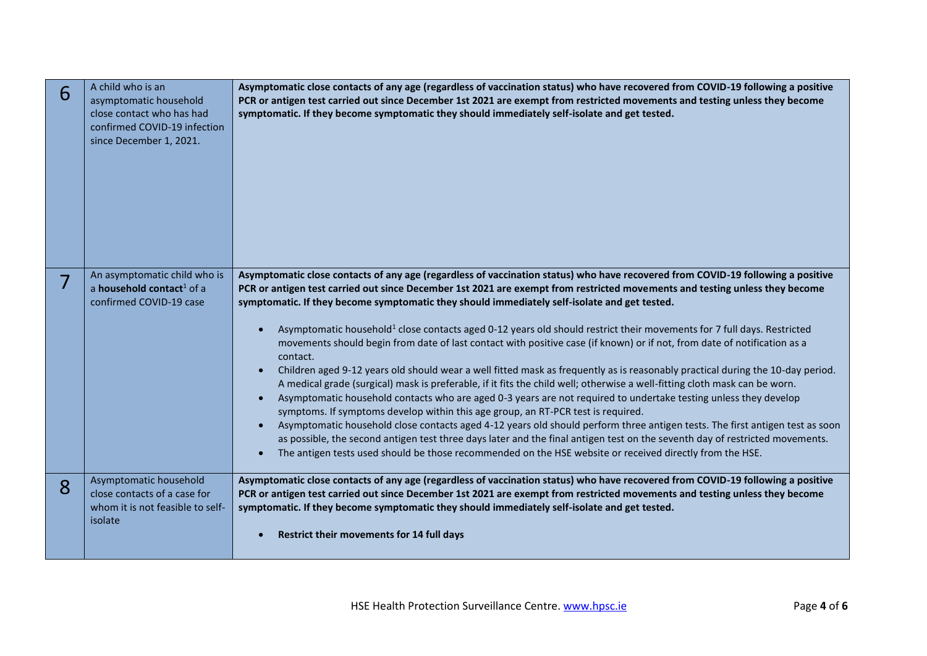| 6 | A child who is an<br>asymptomatic household<br>close contact who has had<br>confirmed COVID-19 infection<br>since December 1, 2021. | Asymptomatic close contacts of any age (regardless of vaccination status) who have recovered from COVID-19 following a positive<br>PCR or antigen test carried out since December 1st 2021 are exempt from restricted movements and testing unless they become<br>symptomatic. If they become symptomatic they should immediately self-isolate and get tested.                                                                                                                                                                                                                                                                                                                                                                                                                                                                                                                                                                                                                                                                                                                                                                                                                                                                                                                                                                                                                                                                                                                                   |
|---|-------------------------------------------------------------------------------------------------------------------------------------|--------------------------------------------------------------------------------------------------------------------------------------------------------------------------------------------------------------------------------------------------------------------------------------------------------------------------------------------------------------------------------------------------------------------------------------------------------------------------------------------------------------------------------------------------------------------------------------------------------------------------------------------------------------------------------------------------------------------------------------------------------------------------------------------------------------------------------------------------------------------------------------------------------------------------------------------------------------------------------------------------------------------------------------------------------------------------------------------------------------------------------------------------------------------------------------------------------------------------------------------------------------------------------------------------------------------------------------------------------------------------------------------------------------------------------------------------------------------------------------------------|
|   | An asymptomatic child who is<br>a household contact <sup>1</sup> of a<br>confirmed COVID-19 case                                    | Asymptomatic close contacts of any age (regardless of vaccination status) who have recovered from COVID-19 following a positive<br>PCR or antigen test carried out since December 1st 2021 are exempt from restricted movements and testing unless they become<br>symptomatic. If they become symptomatic they should immediately self-isolate and get tested.<br>Asymptomatic household <sup>1</sup> close contacts aged 0-12 years old should restrict their movements for 7 full days. Restricted<br>movements should begin from date of last contact with positive case (if known) or if not, from date of notification as a<br>contact.<br>Children aged 9-12 years old should wear a well fitted mask as frequently as is reasonably practical during the 10-day period.<br>A medical grade (surgical) mask is preferable, if it fits the child well; otherwise a well-fitting cloth mask can be worn.<br>Asymptomatic household contacts who are aged 0-3 years are not required to undertake testing unless they develop<br>symptoms. If symptoms develop within this age group, an RT-PCR test is required.<br>Asymptomatic household close contacts aged 4-12 years old should perform three antigen tests. The first antigen test as soon<br>as possible, the second antigen test three days later and the final antigen test on the seventh day of restricted movements.<br>The antigen tests used should be those recommended on the HSE website or received directly from the HSE. |
| 8 | Asymptomatic household<br>close contacts of a case for<br>whom it is not feasible to self-<br>isolate                               | Asymptomatic close contacts of any age (regardless of vaccination status) who have recovered from COVID-19 following a positive<br>PCR or antigen test carried out since December 1st 2021 are exempt from restricted movements and testing unless they become<br>symptomatic. If they become symptomatic they should immediately self-isolate and get tested.<br>Restrict their movements for 14 full days                                                                                                                                                                                                                                                                                                                                                                                                                                                                                                                                                                                                                                                                                                                                                                                                                                                                                                                                                                                                                                                                                      |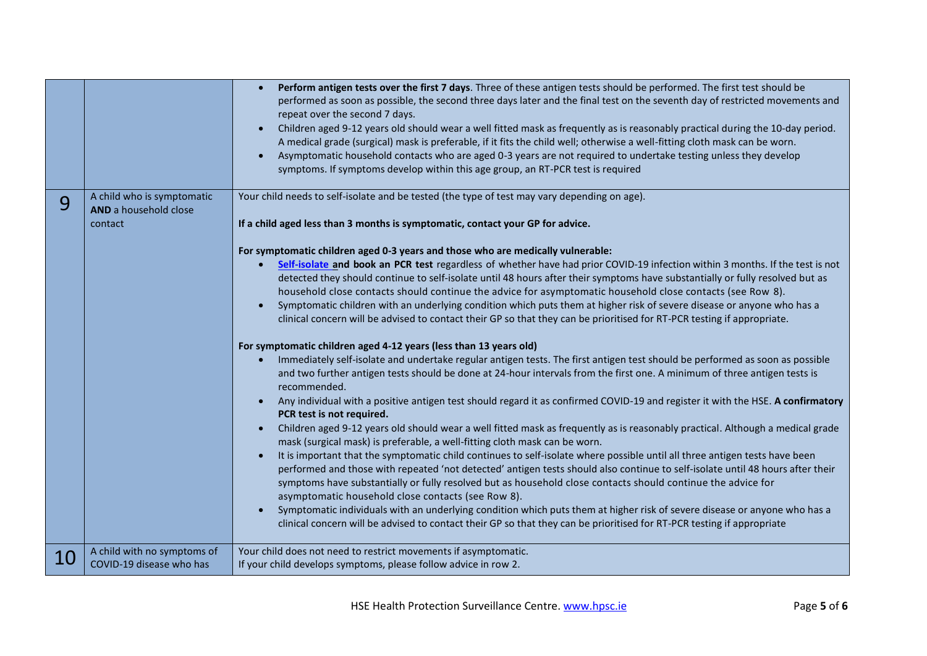|    |                             | Perform antigen tests over the first 7 days. Three of these antigen tests should be performed. The first test should be                                                                                   |
|----|-----------------------------|-----------------------------------------------------------------------------------------------------------------------------------------------------------------------------------------------------------|
|    |                             | performed as soon as possible, the second three days later and the final test on the seventh day of restricted movements and<br>repeat over the second 7 days.                                            |
|    |                             | Children aged 9-12 years old should wear a well fitted mask as frequently as is reasonably practical during the 10-day period.                                                                            |
|    |                             | A medical grade (surgical) mask is preferable, if it fits the child well; otherwise a well-fitting cloth mask can be worn.                                                                                |
|    |                             | Asymptomatic household contacts who are aged 0-3 years are not required to undertake testing unless they develop                                                                                          |
|    |                             | symptoms. If symptoms develop within this age group, an RT-PCR test is required                                                                                                                           |
| 9  | A child who is symptomatic  | Your child needs to self-isolate and be tested (the type of test may vary depending on age).                                                                                                              |
|    | AND a household close       |                                                                                                                                                                                                           |
|    | contact                     | If a child aged less than 3 months is symptomatic, contact your GP for advice.                                                                                                                            |
|    |                             | For symptomatic children aged 0-3 years and those who are medically vulnerable:                                                                                                                           |
|    |                             | Self-isolate and book an PCR test regardless of whether have had prior COVID-19 infection within 3 months. If the test is not                                                                             |
|    |                             | detected they should continue to self-isolate until 48 hours after their symptoms have substantially or fully resolved but as                                                                             |
|    |                             | household close contacts should continue the advice for asymptomatic household close contacts (see Row 8).                                                                                                |
|    |                             | Symptomatic children with an underlying condition which puts them at higher risk of severe disease or anyone who has a                                                                                    |
|    |                             | clinical concern will be advised to contact their GP so that they can be prioritised for RT-PCR testing if appropriate.                                                                                   |
|    |                             | For symptomatic children aged 4-12 years (less than 13 years old)                                                                                                                                         |
|    |                             | Immediately self-isolate and undertake regular antigen tests. The first antigen test should be performed as soon as possible                                                                              |
|    |                             | and two further antigen tests should be done at 24-hour intervals from the first one. A minimum of three antigen tests is<br>recommended.                                                                 |
|    |                             | Any individual with a positive antigen test should regard it as confirmed COVID-19 and register it with the HSE. A confirmatory<br>$\bullet$<br>PCR test is not required.                                 |
|    |                             | Children aged 9-12 years old should wear a well fitted mask as frequently as is reasonably practical. Although a medical grade                                                                            |
|    |                             | mask (surgical mask) is preferable, a well-fitting cloth mask can be worn.<br>It is important that the symptomatic child continues to self-isolate where possible until all three antigen tests have been |
|    |                             | performed and those with repeated 'not detected' antigen tests should also continue to self-isolate until 48 hours after their                                                                            |
|    |                             | symptoms have substantially or fully resolved but as household close contacts should continue the advice for                                                                                              |
|    |                             | asymptomatic household close contacts (see Row 8).                                                                                                                                                        |
|    |                             | Symptomatic individuals with an underlying condition which puts them at higher risk of severe disease or anyone who has a                                                                                 |
|    |                             | clinical concern will be advised to contact their GP so that they can be prioritised for RT-PCR testing if appropriate                                                                                    |
|    | A child with no symptoms of | Your child does not need to restrict movements if asymptomatic.                                                                                                                                           |
| 10 | COVID-19 disease who has    | If your child develops symptoms, please follow advice in row 2.                                                                                                                                           |